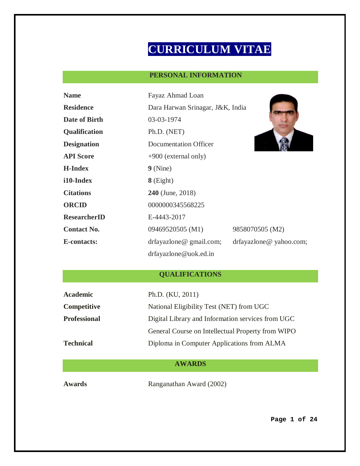# **CURRICULUM VITAE**

# **PERSONAL INFORMATION**

| <b>Name</b>         | Fayaz Ahmad Loan                 |                        |  |
|---------------------|----------------------------------|------------------------|--|
| <b>Residence</b>    | Dara Harwan Srinagar, J&K, India |                        |  |
| Date of Birth       | 03-03-1974                       |                        |  |
| Qualification       | Ph.D. (NET)                      |                        |  |
| <b>Designation</b>  | Documentation Officer            |                        |  |
| <b>API Score</b>    | $+900$ (external only)           |                        |  |
| <b>H-Index</b>      | $9$ (Nine)                       |                        |  |
| i10-Index           | $8$ (Eight)                      |                        |  |
| <b>Citations</b>    | <b>240</b> (June, 2018)          |                        |  |
| <b>ORCID</b>        | 0000000345568225                 |                        |  |
| <b>ResearcherID</b> | E-4443-2017                      |                        |  |
| <b>Contact No.</b>  | 09469520505 (M1)                 | 9858070505 (M2)        |  |
| <b>E-contacts:</b>  | drfayazlone@gmail.com;           | drfayazlone@yahoo.com; |  |
|                     | drfayazlone@uok.ed.in            |                        |  |

# **QUALIFICATIONS**

| Academic            | Ph.D. (KU, 2011)                                  |  |
|---------------------|---------------------------------------------------|--|
| <b>Competitive</b>  | National Eligibility Test (NET) from UGC          |  |
| <b>Professional</b> | Digital Library and Information services from UGC |  |
|                     | General Course on Intellectual Property from WIPO |  |
| <b>Technical</b>    | Diploma in Computer Applications from ALMA        |  |

# **AWARDS**

**Awards** Ranganathan Award (2002)

**Page 1 of 24**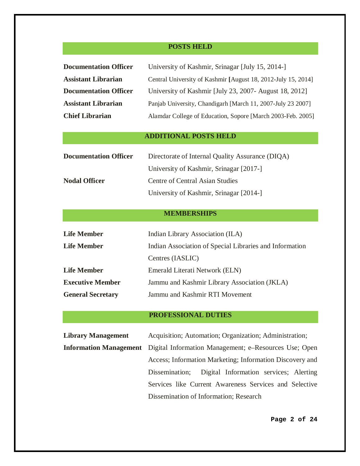# **POSTS HELD**

| <b>Documentation Officer</b><br><b>Assistant Librarian</b><br><b>Documentation Officer</b><br><b>Assistant Librarian</b> | University of Kashmir, Srinagar [July 15, 2014-]<br>Central University of Kashmir [August 18, 2012-July 15, 2014]<br>University of Kashmir [July 23, 2007- August 18, 2012]<br>Panjab University, Chandigarh [March 11, 2007-July 23 2007] |  |  |  |
|--------------------------------------------------------------------------------------------------------------------------|--------------------------------------------------------------------------------------------------------------------------------------------------------------------------------------------------------------------------------------------|--|--|--|
| <b>Chief Librarian</b>                                                                                                   | Alamdar College of Education, Sopore [March 2003-Feb. 2005]                                                                                                                                                                                |  |  |  |
| <b>ADDITIONAL POSTS HELD</b>                                                                                             |                                                                                                                                                                                                                                            |  |  |  |
| <b>Documentation Officer</b>                                                                                             | Directorate of Internal Quality Assurance (DIQA)<br>University of Kashmir, Srinagar [2017-]                                                                                                                                                |  |  |  |
| <b>Nodal Officer</b>                                                                                                     | <b>Centre of Central Asian Studies</b><br>University of Kashmir, Srinagar [2014-]                                                                                                                                                          |  |  |  |
| <b>MEMBERSHIPS</b>                                                                                                       |                                                                                                                                                                                                                                            |  |  |  |
| <b>Life Member</b>                                                                                                       | Indian Library Association (ILA)                                                                                                                                                                                                           |  |  |  |
| <b>Life Member</b>                                                                                                       | Indian Association of Special Libraries and Information<br>Centres (IASLIC)                                                                                                                                                                |  |  |  |
| <b>Life Member</b>                                                                                                       | Emerald Literati Network (ELN)                                                                                                                                                                                                             |  |  |  |
| <b>Executive Member</b>                                                                                                  | Jammu and Kashmir Library Association (JKLA)                                                                                                                                                                                               |  |  |  |
| <b>General Secretary</b>                                                                                                 | Jammu and Kashmir RTI Movement                                                                                                                                                                                                             |  |  |  |

# **PROFESSIONAL DUTIES**

| Acquisition; Automation; Organization; Administration;                                           |  |
|--------------------------------------------------------------------------------------------------|--|
| <b>Information Management</b> Digital Information Management; e-Resources Use; Open              |  |
| Access; Information Marketing; Information Discovery and                                         |  |
| Digital Information services; Alerting<br>Dissemination;                                         |  |
| Services like Current Awareness Services and Selective<br>Dissemination of Information; Research |  |
|                                                                                                  |  |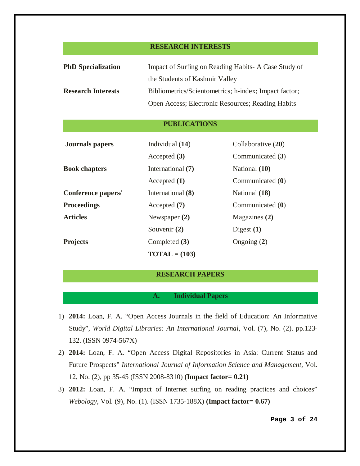#### **RESEARCH INTERESTS**

| <b>PhD</b> Specialization | Impact of Surfing on Reading Habits- A Case Study of  |  |
|---------------------------|-------------------------------------------------------|--|
|                           | the Students of Kashmir Valley                        |  |
| <b>Research Interests</b> | Bibliometrics/Scientometrics; h-index; Impact factor; |  |
|                           | Open Access; Electronic Resources; Reading Habits     |  |

#### **PUBLICATIONS**

| <b>Journals</b> papers | Individual (14)          | Collaborative (20) |
|------------------------|--------------------------|--------------------|
|                        | Accepted $(3)$           | Communicated (3)   |
| <b>Book chapters</b>   | International (7)        | National (10)      |
|                        | Accepted $(1)$           | Communicated $(0)$ |
| Conference papers/     | International (8)        | National (18)      |
| <b>Proceedings</b>     | Accepted (7)             | Communicated $(0)$ |
| <b>Articles</b>        | Newspaper $(2)$          | Magazines (2)      |
|                        | Souvenir (2)             | Digest $(1)$       |
| <b>Projects</b>        | Completed (3)            | Ongoing $(2)$      |
|                        | $\textbf{TOTAL} = (103)$ |                    |

#### **RESEARCH PAPERS**

# **A. Individual Papers**

- 1) **2014:** Loan, F. A. "Open Access Journals in the field of Education: An Informative Study", *World Digital Libraries: An International Journal*, Vol. (7), No. (2). pp.123- 132. (ISSN 0974-567X)
- 2) **2014:** Loan, F. A. "Open Access Digital Repositories in Asia: Current Status and Future Prospects" *International Journal of Information Science and Management,* Vol. 12, No. (2), pp 35-45 (ISSN 2008-8310) **(Impact factor= 0.21)**
- 3) **2012:** Loan, F. A. "Impact of Internet surfing on reading practices and choices" *Webology*, Vol. (9), No. (1). (ISSN 1735-188X) **(Impact factor= 0.67)**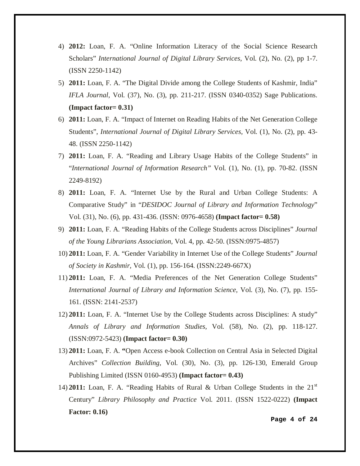- 4) **2012:** Loan, F. A. "Online Information Literacy of the Social Science Research Scholars" *International Journal of Digital Library Services,* Vol. (2), No. (2), pp 1-7. (ISSN 2250-1142)
- 5) **2011:** Loan, F. A. "The Digital Divide among the College Students of Kashmir, India" *IFLA Journal,* Vol. (37), No. (3), pp. 211-217. (ISSN 0340-0352) Sage Publications. **(Impact factor= 0.31)**
- 6) **2011:** Loan, F. A. "Impact of Internet on Reading Habits of the Net Generation College Students", *International Journal of Digital Library Services,* Vol. (1), No. (2), pp. 43- 48. (ISSN 2250-1142)
- 7) **2011:** Loan, F. A. "Reading and Library Usage Habits of the College Students" in "*International Journal of Information Research"* Vol. (1), No. (1), pp. 70-82. (ISSN 2249-8192)
- 8) **2011:** Loan, F. A. "Internet Use by the Rural and Urban College Students: A Comparative Study" in "*DESIDOC Journal of Library and Information Technology*" Vol. (31), No. (6), pp. 431-436. (ISSN: 0976-4658) **(Impact factor= 0.58)**
- 9) **2011:** Loan, F. A. "Reading Habits of the College Students across Disciplines" *Journal of the Young Librarians Association,* Vol. 4, pp. 42-50. (ISSN:0975-4857)
- 10) **2011:** Loan, F. A. "Gender Variability in Internet Use of the College Students" *Journal of Society in Kashmir,* Vol. (1), pp. 156-164. (ISSN:2249-667X)
- 11) **2011:** Loan, F. A. "Media Preferences of the Net Generation College Students" *International Journal of Library and Information Science,* Vol. (3), No. (7), pp. 155- 161. (ISSN: 2141-2537)
- 12) **2011:** Loan, F. A. "Internet Use by the College Students across Disciplines: A study" *Annals of Library and Information Studies,* Vol. (58), No. (2), pp. 118-127. (ISSN:0972-5423) **(Impact factor= 0.30)**
- 13) **2011:** Loan, F. A. **"**Open Access e-book Collection on Central Asia in Selected Digital Archives" *Collection Building*, Vol. (30), No. (3), pp. 126-130, Emerald Group Publishing Limited (ISSN 0160-4953) **(Impact factor= 0.43)**
- 14) **2011:** Loan, F. A. "Reading Habits of Rural & Urban College Students in the 21st Century" *Library Philosophy and Practice* Vol. 2011. (ISSN 1522-0222) **(Impact Factor: 0.16)**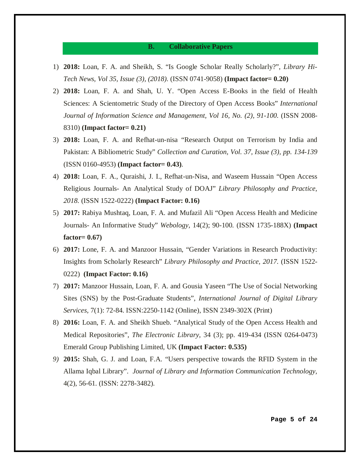#### **B. Collaborative Papers**

- 1) **2018:** Loan, F. A. and Sheikh, S. "Is Google Scholar Really Scholarly?", *Library Hi-Tech News, Vol 35, Issue (3), (2018).* (ISSN 0741-9058) **(Impact factor= 0.20)**
- 2) **2018:** Loan, F. A. and Shah, U. Y. "Open Access E-Books in the field of Health Sciences: A Scientometric Study of the Directory of Open Access Books" *International Journal of Information Science and Management, Vol 16, No. (2), 91-100.* (ISSN 2008- 8310) **(Impact factor= 0.21)**
- 3) **2018:** Loan, F. A. and Refhat-un-nisa "Research Output on Terrorism by India and Pakistan: A Bibliometric Study" *Collection and Curation, Vol. 37, Issue (3), pp. 134-139* (ISSN 0160-4953) **(Impact factor= 0.43)***.*
- 4) **2018:** Loan, F. A., Quraishi, J. I., Refhat-un-Nisa, and Waseem Hussain "Open Access Religious Journals- An Analytical Study of DOAJ" *Library Philosophy and Practice, 2018.* (ISSN 1522-0222) **(Impact Factor: 0.16)**
- 5) **2017:** Rabiya Mushtaq, Loan, F. A. and Mufazil Ali "Open Access Health and Medicine Journals- An Informative Study" *Webology,* 14(2); 90-100*.* (ISSN 1735-188X) **(Impact factor= 0.67)**
- 6) **2017:** Lone, F. A. and Manzoor Hussain, "Gender Variations in Research Productivity: Insights from Scholarly Research" *Library Philosophy and Practice, 2017.* (ISSN 1522- 0222) **(Impact Factor: 0.16)**
- 7) **2017:** Manzoor Hussain, Loan, F. A. and Gousia Yaseen "The Use of Social Networking Sites (SNS) by the Post-Graduate Students", *International Journal of Digital Library Services,* 7(1): 72-84. ISSN:2250-1142 (Online), ISSN 2349-302X (Print)
- 8) **2016:** Loan, F. A. and Sheikh Shueb. "Analytical Study of the Open Access Health and Medical Repositories", *The Electronic Library*, 34 (3); pp. 419-434 (ISSN 0264-0473) Emerald Group Publishing Limited, UK **(Impact Factor: 0.535)**
- *9)* **2015:** Shah, G. J. and Loan, F.A. "Users perspective towards the RFID System in the Allama Iqbal Library". *Journal of Library and Information Communication Technology,*  4(2), 56-61. (ISSN: 2278-3482).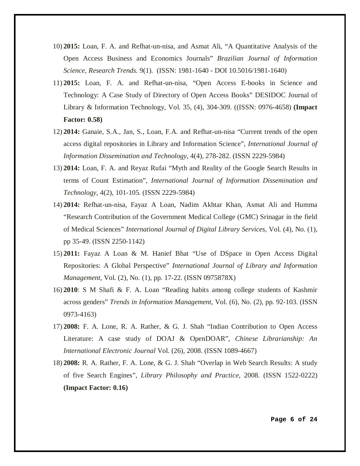- 10) **2015:** Loan, F. A. and Refhat-un-nisa, and Asmat Ali, "A Quantitative Analysis of the Open Access Business and Economics Journals" *Brazilian Journal of Information Science, Research Trends.* 9(1)*.* (ISSN: 1981-1640 - DOI 10.5016/1981-1640)
- 11) **2015:** Loan, F. A. and Refhat-un-nisa, "Open Access E-books in Science and Technology: A Case Study of Directory of Open Access Books" DESIDOC Journal of Library & Information Technology, Vol. 35, (4), 304-309. ((ISSN: 0976-4658) **(Impact Factor: 0.58)**
- 12) **2014:** Ganaie, S.A., Jan, S., Loan, F.A. and Refhat-un-nisa "Current trends of the open access digital repositories in Library and Information Science", *International Journal of Information Dissemination and Technology*, 4(4), 278-282. (ISSN 2229-5984)
- 13) **2014:** Loan, F. A. and Reyaz Rufai "Myth and Reality of the Google Search Results in terms of Count Estimation", *International Journal of Information Dissemination and Technology*, 4(2), 101-105. (ISSN 2229-5984)
- 14) **2014:** Refhat-un-nisa, Fayaz A Loan, Nadim Akhtar Khan, Asmat Ali and Humma "Research Contribution of the Government Medical College (GMC) Srinagar in the field of Medical Sciences" *International Journal of Digital Library Services,* Vol. (4), No. (1), pp 35-49. (ISSN 2250-1142)
- 15) **2011:** Fayaz A Loan & M. Hanief Bhat "Use of DSpace in Open Access Digital Repositories: A Global Perspective" *International Journal of Library and Information Management*, Vol. (2), No. (1), pp. 17-22. (ISSN 0975878X)
- 16) **2010**: S M Shafi & F. A. Loan "Reading habits among college students of Kashmir across genders" *Trends in Information Management*, Vol. (6), No. (2), pp. 92-103. (ISSN 0973-4163)
- 17) **2008:** F. A. Lone, R. A. Rather, & G. J. Shah "Indian Contribution to Open Access Literature: A case study of DOAJ & OpenDOAR", *Chinese Librarianship: An International Electronic Journal* Vol. (26), 2008. (ISSN 1089-4667)
- 18) **2008:** R. A. Rather, F. A. Lone, & G. J. Shah "Overlap in Web Search Results: A study of five Search Engines", *Library Philosophy and Practice*, 2008. (ISSN 1522-0222) **(Impact Factor: 0.16)**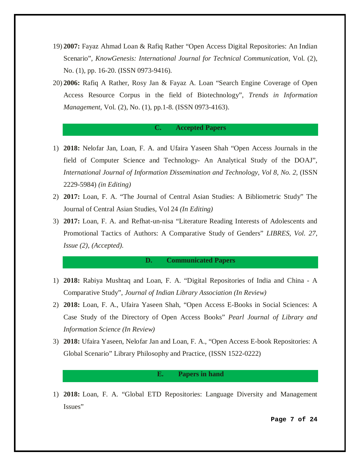- 19) **2007:** Fayaz Ahmad Loan & Rafiq Rather "Open Access Digital Repositories: An Indian Scenario", *KnowGenesis: International Journal for Technical Communication,* Vol. (2), No. (1), pp. 16-20. (ISSN 0973-9416).
- 20) **2006:** Rafiq A Rather, Rosy Jan & Fayaz A. Loan "Search Engine Coverage of Open Access Resource Corpus in the field of Biotechnology", *Trends in Information Management*, Vol. (2), No. (1), pp.1-8. (ISSN 0973-4163).

#### **C. Accepted Papers**

- 1) **2018:** Nelofar Jan, Loan, F. A. and Ufaira Yaseen Shah "Open Access Journals in the field of Computer Science and Technology- An Analytical Study of the DOAJ", *International Journal of Information Dissemination and Technology, Vol 8, No. 2, (ISSN* 2229-5984) *(in Editing)*
- 2) **2017:** Loan, F. A. "The Journal of Central Asian Studies: A Bibliometric Study" The Journal of Central Asian Studies, Vol 24 *(In Editing)*
- 3) **2017:** Loan, F. A. and Refhat-un-nisa "Literature Reading Interests of Adolescents and Promotional Tactics of Authors: A Comparative Study of Genders" *LIBRES, Vol. 27, Issue (2), (Accepted).*

#### **D. Communicated Papers**

- 1) **2018:** Rabiya Mushtaq and Loan, F. A. "Digital Repositories of India and China A Comparative Study", *Journal of Indian Library Association (In Review)*
- 2) **2018:** Loan, F. A., Ufaira Yaseen Shah, "Open Access E-Books in Social Sciences: A Case Study of the Directory of Open Access Books" *Pearl Journal of Library and Information Science (In Review)*
- 3) **2018:** Ufaira Yaseen, Nelofar Jan and Loan, F. A., "Open Access E-book Repositories: A Global Scenario" Library Philosophy and Practice, (ISSN 1522-0222)

#### **E. Papers in hand**

1) **2018:** Loan, F. A. "Global ETD Repositories: Language Diversity and Management Issues"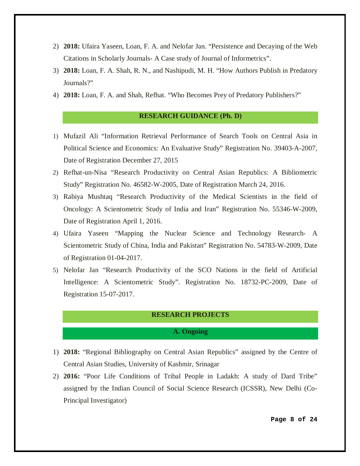- 2) **2018:** Ufaira Yaseen, Loan, F. A. and Nelofar Jan. "Persistence and Decaying of the Web Citations in Scholarly Journals- A Case study of Journal of Informetrics".
- 3) **2018:** Loan, F. A. Shah, R. N., and Nashipudi, M. H. "How Authors Publish in Predatory Journals?"
- 4) **2018:** Loan, F. A. and Shah, Refhat. "Who Becomes Prey of Predatory Publishers?"

#### **RESEARCH GUIDANCE (Ph. D)**

- 1) Mufazil Ali "Information Retrieval Performance of Search Tools on Central Asia in Political Science and Economics: An Evaluative Study" Registration No. 39403-A-2007, Date of Registration December 27, 2015
- 2) Refhat-un-Nisa "Research Productivity on Central Asian Republics: A Bibliometric Study" Registration No. 46582-W-2005, Date of Registration March 24, 2016.
- 3) Rabiya Mushtaq "Research Productivity of the Medical Scientists in the field of Oncology: A Scientometric Study of India and Iran" Registration No. 55346-W-2009, Date of Registration April 1, 2016.
- 4) Ufaira Yaseen "Mapping the Nuclear Science and Technology Research- A Scientometric Study of China, India and Pakistan" Registration No. 54783-W-2009, Date of Registration 01-04-2017.
- 5) Nelofar Jan "Research Productivity of the SCO Nations in the field of Artificial Intelligence: A Scientometric Study". Registration No. 18732-PC-2009, Date of Registration 15-07-2017.

#### **RESEARCH PROJECTS**

#### **A. Ongoing**

- 1) **2018:** "Regional Bibliography on Central Asian Republics" assigned by the Centre of Central Asian Studies, University of Kashmir, Srinagar
- 2) **2016:** "Poor Life Conditions of Tribal People in Ladakh: A study of Dard Tribe" assigned by the Indian Council of Social Science Research (ICSSR), New Delhi (Co-Principal Investigator)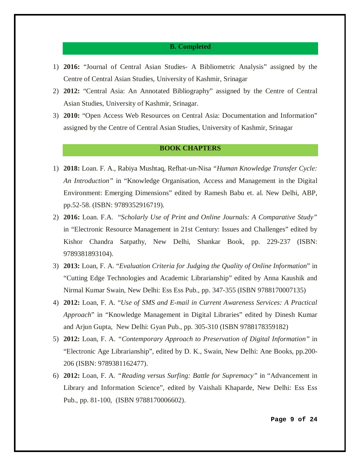#### **B. Completed**

- 1) **2016:** "Journal of Central Asian Studies- A Bibliometric Analysis" assigned by the Centre of Central Asian Studies, University of Kashmir, Srinagar
- 2) **2012:** "Central Asia: An Annotated Bibliography" assigned by the Centre of Central Asian Studies, University of Kashmir, Srinagar.
- 3) **2010:** "Open Access Web Resources on Central Asia: Documentation and Information" assigned by the Centre of Central Asian Studies, University of Kashmir, Srinagar

## **BOOK CHAPTERS**

- 1) **2018:** Loan. F. A., Rabiya Mushtaq, Refhat-un-Nisa *"Human Knowledge Transfer Cycle: An Introduction"* in "Knowledge Organisation, Access and Management in the Digital Environment: Emerging Dimensions" edited by Ramesh Babu et. al. New Delhi, ABP, pp.52-58. (ISBN: 9789352916719).
- 2) **2016:** Loan. F.A. "*Scholarly Use of Print and Online Journals: A Comparative Study"*  in "Electronic Resource Management in 21st Century: Issues and Challenges" edited by Kishor Chandra Satpathy, New Delhi, Shankar Book, pp. 229-237 (ISBN: 9789381893104).
- 3) **2013:** Loan, F. A. "*Evaluation Criteria for Judging the Quality of Online Information*" in "Cutting Edge Technologies and Academic Librarianship" edited by Anna Kaushik and Nirmal Kumar Swain, New Delhi: Ess Ess Pub., pp. 347-355 (ISBN 9788170007135)
- 4) **2012:** Loan, F. A. "*Use of SMS and E-mail in Current Awareness Services: A Practical Approach*" in "Knowledge Management in Digital Libraries" edited by Dinesh Kumar and Arjun Gupta, New Delhi: Gyan Pub., pp. 305-310 (ISBN 9788178359182)
- 5) **2012:** Loan, F. A. *"Contemporary Approach to Preservation of Digital Information"* in "Electronic Age Librarianship", edited by D. K., Swain, New Delhi: Ane Books, pp.200- 206 (ISBN: 9789381162477).
- 6) **2012:** Loan, F. A. *"Reading versus Surfing: Battle for Supremacy"* in "Advancement in Library and Information Science", edited by Vaishali Khaparde, New Delhi: Ess Ess Pub., pp. 81-100, (ISBN 9788170006602).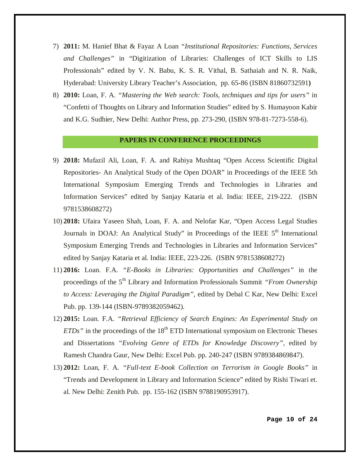- 7) **2011:** M. Hanief Bhat & Fayaz A Loan *"Institutional Repositories: Functions, Services and Challenges"* in "Digitization of Libraries: Challenges of ICT Skills to LIS Professionals" edited by V. N. Babu, K. S. R. Vithal, B. Sathaiah and N. R. Naik, Hyderabad: University Library Teacher's Association, pp. 65-86 (ISBN 81860732591**)**
- 8) **2010:** Loan, F. A. *"Mastering the Web search: Tools, techniques and tips for users"* in "Confetti of Thoughts on Library and Information Studies" edited by S. Humayoon Kabir and K.G. Sudhier, New Delhi: Author Press, pp. 273-290, (ISBN 978-81-7273-558-6).

#### **PAPERS IN CONFERENCE PROCEEDINGS**

- 9) **2018:** Mufazil Ali, Loan, F. A. and Rabiya Mushtaq "Open Access Scientific Digital Repositories- An Analytical Study of the Open DOAR" in Proceedings of the IEEE 5th International Symposium Emerging Trends and Technologies in Libraries and Information Services" edited by Sanjay Kataria et al. India: IEEE, 219-222. (ISBN 9781538608272)
- 10) **2018:** Ufaira Yaseen Shah, Loan, F. A. and Nelofar Kar, "Open Access Legal Studies Journals in DOAJ: An Analytical Study" in Proceedings of the IEEE  $5<sup>th</sup>$  International Symposium Emerging Trends and Technologies in Libraries and Information Services" edited by Sanjay Kataria et al. India: IEEE, 223-226. (ISBN 9781538608272)
- 11) **2016:** Loan. F.A. *"E-Books in Libraries: Opportunities and Challenges"* in the proceedings of the 5<sup>th</sup> Library and Information Professionals Summit *"From Ownership*" *to Access: Leveraging the Digital Paradigm"*, edited by Debal C Kar, New Delhi: Excel Pub. pp. 139-144 (ISBN-9789382059462).
- 12) **2015:** Loan. F.A. *["Retrieval](https://scholar.google.co.in/citations?view_op=view_citation&hl=en&user=R2dljbgAAAAJ&citation_for_view=R2dljbgAAAAJ:zLWjf1WUPmwC) Efficiency of Search Engines: An Experimental Study on ETDs*" in the proceedings of the  $18<sup>th</sup>$  ETD International symposium on Electronic Theses and Dissertations *"Evolving Genre of ETDs for Knowledge Discovery"*, edited by Ramesh Chandra Gaur, New Delhi: Excel Pub. pp. 240-247 (ISBN 9789384869847).
- 13) **2012:** Loan, F. A. *"Full-text E-book Collection on Terrorism in Google Books"* in "Trends and Development in Library and Information Science" edited by Rishi Tiwari et. al. New Delhi: Zenith Pub. pp. 155-162 (ISBN 9788190953917).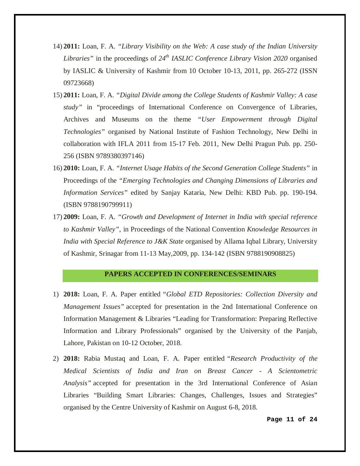- 14) **2011:** Loan, F. A. *"Library Visibility on the Web: A case study of the Indian University Libraries"* in the proceedings of *24th IASLIC Conference Library Vision 2020* organised by IASLIC & University of Kashmir from 10 October 10-13, 2011, pp. 265-272 (ISSN 09723668)
- 15) **2011:** Loan, F. A. *"Digital Divide among the College Students of Kashmir Valley: A case study"* in "proceedings of International Conference on Convergence of Libraries, Archives and Museums on the theme *"User Empowerment through Digital Technologies"* organised by National Institute of Fashion Technology, New Delhi in collaboration with IFLA 2011 from 15-17 Feb. 2011, New Delhi Pragun Pub. pp. 250- 256 (ISBN 9789380397146)
- 16) **2010:** Loan, F. A. *"Internet Usage Habits of the Second Generation College Students"* in Proceedings of the *"Emerging Technologies and Changing Dimensions of Libraries and Information Services"* edited by Sanjay Kataria, New Delhi: KBD Pub. pp. 190-194. (ISBN 9788190799911)
- 17) **2009:** Loan, F. A. *"Growth and Development of Internet in India with special reference to Kashmir Valley"*, in Proceedings of the National Convention *Knowledge Resources in India with Special Reference to J&K State* organised by Allama Iqbal Library, University of Kashmir, Srinagar from 11-13 May,2009, pp. 134-142 (ISBN 9788190908825)

## **PAPERS ACCEPTED IN CONFERENCES/SEMINARS**

- 1) **2018:** Loan, F. A. Paper entitled *"Global ETD Repositories: Collection Diversity and Management Issues"* accepted for presentation in the 2nd International Conference on Information Management & Libraries "Leading for Transformation: Preparing Reflective Information and Library Professionals" organised by the University of the Panjab, Lahore, Pakistan on 10-12 October, 2018.
- 2) **2018:** Rabia Mustaq and Loan, F. A. Paper entitled *"Research Productivity of the Medical Scientists of India and Iran on Breast Cancer - A Scientometric Analysis"* accepted for presentation in the 3rd International Conference of Asian Libraries "Building Smart Libraries: Changes, Challenges, Issues and Strategies" organised by the Centre University of Kashmir on August 6-8, 2018.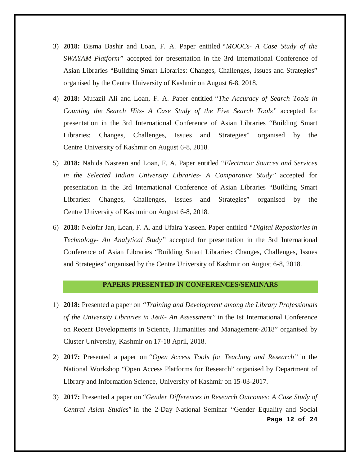- 3) **2018:** Bisma Bashir and Loan, F. A. Paper entitled *"MOOCs- A Case Study of the SWAYAM Platform"* accepted for presentation in the 3rd International Conference of Asian Libraries "Building Smart Libraries: Changes, Challenges, Issues and Strategies" organised by the Centre University of Kashmir on August 6-8, 2018.
- 4) **2018:** Mufazil Ali and Loan, F. A. Paper entitled *"The Accuracy of Search Tools in Counting the Search Hits- A Case Study of the Five Search Tools"* accepted for presentation in the 3rd International Conference of Asian Libraries "Building Smart Libraries: Changes, Challenges, Issues and Strategies" organised by the Centre University of Kashmir on August 6-8, 2018.
- 5) **2018:** Nahida Nasreen and Loan, F. A. Paper entitled *"Electronic Sources and Services in the Selected Indian University Libraries- A Comparative Study"* accepted for presentation in the 3rd International Conference of Asian Libraries "Building Smart Libraries: Changes, Challenges, Issues and Strategies" organised by the Centre University of Kashmir on August 6-8, 2018.
- 6) **2018:** Nelofar Jan, Loan, F. A. and Ufaira Yaseen. Paper entitled *"Digital Repositories in Technology- An Analytical Study"* accepted for presentation in the 3rd International Conference of Asian Libraries "Building Smart Libraries: Changes, Challenges, Issues and Strategies" organised by the Centre University of Kashmir on August 6-8, 2018.

#### **PAPERS PRESENTED IN CONFERENCES/SEMINARS**

- 1) **2018:** Presented a paper on *"Training and Development among the Library Professionals of the University Libraries in J&K- An Assessment"* in the Ist International Conference on Recent Developments in Science, Humanities and Management-2018" organised by Cluster University, Kashmir on 17-18 April, 2018.
- 2) **2017:** Presented a paper on *"Open Access Tools for Teaching and Research"* in the National Workshop "Open Access Platforms for Research" organised by Department of Library and Information Science*,* University of Kashmir on 15-03-2017.
- **Page 12 of 24** 3) **2017:** Presented a paper on "*Gender Differences in Research Outcomes: A Case Study of Central Asian Studies*" in the 2-Day National Seminar "Gender Equality and Social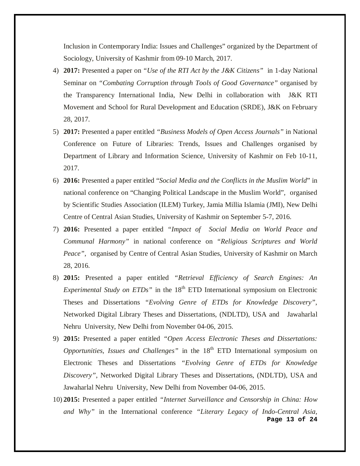Inclusion in Contemporary India: Issues and Challenges" organized by the Department of Sociology, University of Kashmir from 09-10 March, 2017.

- 4) **2017:** Presented a paper on *"Use of the RTI Act by the J&K Citizens"* in 1-day National Seminar on *"Combating Corruption through Tools of Good Governance"* organised by the Transparency International India, New Delhi in collaboration with J&K RTI Movement and School for Rural Development and Education (SRDE), J&K on February 28, 2017.
- 5) **2017:** Presented a paper entitled *"Business Models of Open Access Journals"* in National Conference on Future of Libraries: Trends, Issues and Challenges organised by Department of Library and Information Science, University of Kashmir on Feb 10-11, 2017.
- 6) **2016:** Presented a paper entitled "*Social Media and the Conflicts in the Muslim World*" in national conference on "Changing Political Landscape in the Muslim World", organised by Scientific Studies Association (ILEM) Turkey, Jamia Millia Islamia (JMI), New Delhi Centre of Central Asian Studies, University of Kashmir on September 5-7, 2016.
- 7) **2016:** Presented a paper entitled *"Impact of Social Media on World Peace and Communal Harmony"* in national conference on *"Religious Scriptures and World Peace"*, organised by Centre of Central Asian Studies, University of Kashmir on March 28, 2016.
- 8) **2015:** Presented a paper entitled *["Retrieval](https://scholar.google.co.in/citations?view_op=view_citation&hl=en&user=R2dljbgAAAAJ&citation_for_view=R2dljbgAAAAJ:zLWjf1WUPmwC) Efficiency of Search Engines: An Experimental Study on ETDs*" in the 18<sup>th</sup> ETD International symposium on Electronic Theses and Dissertations *"Evolving Genre of ETDs for Knowledge Discovery"*, Networked Digital Library Theses and Dissertations, (NDLTD), USA and Jawaharlal Nehru University, New Delhi from November 04-06, 2015.
- 9) **2015:** Presented a paper entitled *["Open Access Electronic Theses and Dissertations:](https://scholar.google.co.in/citations?view_op=view_citation&hl=en&user=R2dljbgAAAAJ&citation_for_view=R2dljbgAAAAJ:zLWjf1WUPmwC)  Opportunities, Issues and Challenges*" in the 18<sup>th</sup> ETD International symposium on Electronic Theses and Dissertations *"Evolving Genre of ETDs for Knowledge Discovery"*, Networked Digital Library Theses and Dissertations, (NDLTD), USA and Jawaharlal Nehru University, New Delhi from November 04-06, 2015.
- **Page 13 of 24** 10) **2015:** Presented a paper entitled *"Internet Surveillance and Censorship in China: How and Why"* in the International conference *"Literary Legacy of Indo-Central Asia,*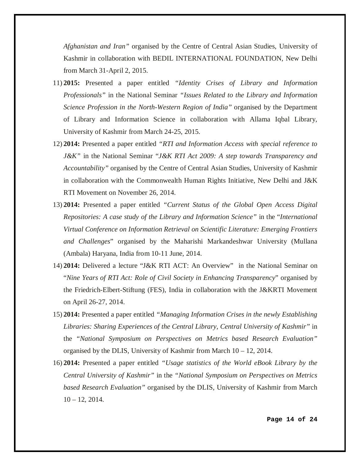*Afghanistan and Iran"* organised by the Centre of Central Asian Studies, University of Kashmir in collaboration with BEDIL INTERNATIONAL FOUNDATION, New Delhi from March 31-April 2, 2015.

- 11) **2015:** Presented a paper entitled *"Identity Crises of Library and Information Professionals"* in the National Seminar *"Issues Related to the Library and Information Science Profession in the North-Western Region of India"* organised by the Department of Library and Information Science in collaboration with Allama Iqbal Library, University of Kashmir from March 24-25, 2015.
- 12) **2014:** Presented a paper entitled *"RTI and Information Access with special reference to J&K"* in the National Seminar "*J&K RTI Act 2009: A step towards Transparency and Accountability"* organised by the Centre of Central Asian Studies, University of Kashmir in collaboration with the Commonwealth Human Rights Initiative, New Delhi and J&K RTI Movement on November 26, 2014.
- 13) **2014:** Presented a paper entitled *"Current Status of the Global Open Access Digital Repositories: A case study of the Library and Information Science"* in the "*International Virtual Conference on Information Retrieval on Scientific Literature: Emerging Frontiers and Challenges*" organised by the Maharishi Markandeshwar University (Mullana (Ambala) Haryana, India from 10-11 June, 2014.
- 14) **2014:** Delivered a lecture "J&K RTI ACT: An Overview" in the National Seminar on "*Nine Years of RTI Act: Role of Civil Society in Enhancing Transparency*" organised by the Friedrich-Elbert-Stiftung (FES), India in collaboration with the J&KRTI Movement on April 26-27, 2014.
- 15) **2014:** Presented a paper entitled *"Managing Information Crises in the newly Establishing Libraries: Sharing Experiences of the Central Library, Central University of Kashmir"* in the *"National Symposium on Perspectives on Metrics based Research Evaluation"*  organised by the DLIS, University of Kashmir from March 10 – 12, 2014.
- 16) **2014:** Presented a paper entitled *["Usage statistics of the World eBook Library by the](http://scholar.google.co.in/citations?view_op=view_citation&hl=en&user=R2dljbgAAAAJ&citation_for_view=R2dljbgAAAAJ:_Re3VWB3Y0AC)  [Central University of Kashmir"](http://scholar.google.co.in/citations?view_op=view_citation&hl=en&user=R2dljbgAAAAJ&citation_for_view=R2dljbgAAAAJ:_Re3VWB3Y0AC)* in the *"National Symposium on Perspectives on Metrics based Research Evaluation"* organised by the DLIS, University of Kashmir from March  $10 - 12$ , 2014.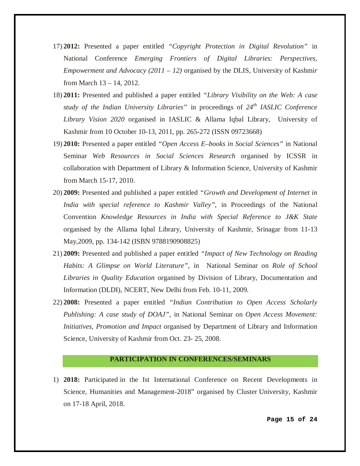- 17) **2012:** Presented a paper entitled *"Copyright Protection in Digital Revolution"* in National Conference *Emerging Frontiers of Digital Libraries: Perspectives, Empowerment and Advocacy (2011 – 12)* organised by the DLIS, University of Kashmi*r*  from March 13 – 14, 2012.
- 18) **2011:** Presented and published a paper entitled *"Library Visibility on the Web: A case study of the Indian University Libraries"* in proceedings of *24th IASLIC Conference Library Vision 2020* organised in IASLIC & Allama Iqbal Library, University of Kashmir from 10 October 10-13, 2011, pp. 265-272 (ISSN 09723668)
- 19) **2010:** Presented a paper entitled *"Open Access E–books in Social Sciences"* in National Seminar *Web Resources in Social Sciences Research* organised by ICSSR in collaboration with Department of Library & Information Science, University of Kashmir from March 15-17, 2010.
- 20) **2009:** Presented and published a paper entitled *"Growth and Development of Internet in India with special reference to Kashmir Valley"*, in Proceedings of the National Convention *Knowledge Resources in India with Special Reference to J&K State* organised by the Allama Iqbal Library, University of Kashmir, Srinagar from 11-13 May,2009, pp. 134-142 (ISBN 9788190908825)
- 21) **2009:** Presented and published a paper entitled *"Impact of New Technology on Reading Habits: A Glimpse on World Literature"*, in National Seminar on *Role of School Libraries in Quality Education* organised by Division of Library, Documentation and Information (DLDI), NCERT, New Delhi from Feb. 10-11, 2009.
- 22) **2008:** Presented a paper entitled *"Indian Contribution to Open Access Scholarly Publishing: A case study of DOAJ"*, in National Seminar on *Open Access Movement: Initiatives, Promotion and Impact* organised by Department of Library and Information Science, University of Kashmir from Oct. 23- 25, 2008.

#### **PARTICIPATION IN CONFERENCES/SEMINARS**

1) **2018:** Participated in the Ist International Conference on Recent Developments in Science, Humanities and Management-2018" organised by Cluster University, Kashmir on 17-18 April, 2018.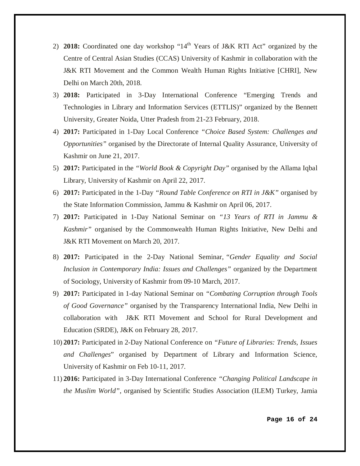- 2) **2018:** Coordinated one day workshop "14<sup>th</sup> Years of J&K RTI Act" organized by the Centre of Central Asian Studies (CCAS) University of Kashmir in collaboration with the J&K RTI Movement and the Common Wealth Human Rights Initiative [CHRI], New Delhi on March 20th, 2018.
- 3) **2018:** Participated in 3-Day International Conference "Emerging Trends and Technologies in Library and Information Services (ETTLIS)" organized by the Bennett University, Greater Noida, Utter Pradesh from 21-23 February, 2018.
- 4) **2017:** Participated in 1-Day Local Conference *"Choice Based System: Challenges and Opportunities"* organised by the Directorate of Internal Quality Assurance, University of Kashmir on June 21, 2017.
- 5) **2017:** Participated in the *"World Book & Copyright Day"* organised by the Allama Iqbal Library, University of Kashmir on April 22, 2017.
- 6) **2017:** Participated in the 1-Day *"Round Table Conference on RTI in J&K"* organised by the State Information Commission, Jammu & Kashmir on April 06, 2017.
- 7) **2017:** Participated in 1-Day National Seminar on *"13 Years of RTI in Jammu & Kashmir"* organised by the Commonwealth Human Rights Initiative, New Delhi and J&K RTI Movement on March 20, 2017.
- 8) **2017:** Participated in the 2-Day National Seminar, *"Gender Equality and Social Inclusion in Contemporary India: Issues and Challenges"* organized by the Department of Sociology, University of Kashmir from 09-10 March, 2017.
- 9) **2017:** Participated in 1-day National Seminar on *"Combating Corruption through Tools of Good Governance"* organised by the Transparency International India, New Delhi in collaboration with J&K RTI Movement and School for Rural Development and Education (SRDE), J&K on February 28, 2017.
- 10) **2017:** Participated in 2-Day National Conference on *"Future of Libraries: Trends, Issues and Challenges*" organised by Department of Library and Information Science, University of Kashmir on Feb 10-11, 2017.
- 11) **2016:** Participated in 3-Day International Conference *"Changing Political Landscape in the Muslim World"*, organised by Scientific Studies Association (ILEM) Turkey, Jamia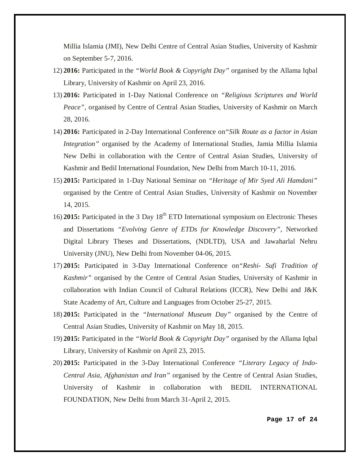Millia Islamia (JMI), New Delhi Centre of Central Asian Studies, University of Kashmir on September 5-7, 2016.

- 12) **2016:** Participated in the *"World Book & Copyright Day"* organised by the Allama Iqbal Library, University of Kashmir on April 23, 2016.
- 13) **2016:** Participated in 1-Day National Conference on *"Religious Scriptures and World Peace"*, organised by Centre of Central Asian Studies, University of Kashmir on March 28, 2016.
- 14) **2016:** Participated in 2-Day International Conference on*"Silk Route as a factor in Asian Integration"* organised by the Academy of International Studies, Jamia Millia Islamia New Delhi in collaboration with the Centre of Central Asian Studies, University of Kashmir and Bedil International Foundation, New Delhi from March 10-11, 2016.
- 15) **2015:** Participated in 1-Day National Seminar on *"Heritage of Mir Syed Ali Hamdani"* organised by the Centre of Central Asian Studies, University of Kashmir on November 14, 2015.
- 16) **2015:** Participated in the 3 Day 18<sup>th</sup> ETD International symposium on Electronic Theses and Dissertations *"Evolving Genre of ETDs for Knowledge Discovery"*, Networked Digital Library Theses and Dissertations, (NDLTD), USA and Jawaharlal Nehru University (JNU), New Delhi from November 04-06, 2015.
- 17) **2015:** Participated in 3-Day International Conference on*"Reshi- Sufi Tradition of Kashmir"* organised by the Centre of Central Asian Studies, University of Kashmir in collaboration with Indian Council of Cultural Relations (ICCR), New Delhi and J&K State Academy of Art, Culture and Languages from October 25-27, 2015.
- 18) **2015:** Participated in the *"International Museum Day"* organised by the Centre of Central Asian Studies, University of Kashmir on May 18, 2015.
- 19) **2015:** Participated in the *"World Book & Copyright Day"* organised by the Allama Iqbal Library, University of Kashmir on April 23, 2015.
- 20) **2015:** Participated in the 3-Day International Conference *"Literary Legacy of Indo-Central Asia, Afghanistan and Iran"* organised by the Centre of Central Asian Studies, University of Kashmir in collaboration with BEDIL INTERNATIONAL FOUNDATION, New Delhi from March 31-April 2, 2015.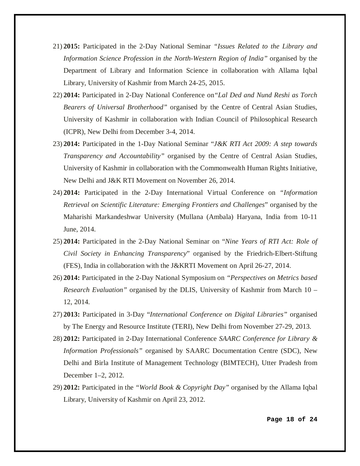- 21) **2015:** Participated in the 2-Day National Seminar *"Issues Related to the Library and Information Science Profession in the North-Western Region of India"* organised by the Department of Library and Information Science in collaboration with Allama Iqbal Library, University of Kashmir from March 24-25, 2015.
- 22) **2014:** Participated in 2-Day National Conference on*"Lal Ded and Nund Reshi as Torch Bearers of Universal Brotherhood"* organised by the Centre of Central Asian Studies, University of Kashmir in collaboration with Indian Council of Philosophical Research (ICPR), New Delhi from December 3-4, 2014.
- 23) **2014:** Participated in the 1-Day National Seminar "*J&K RTI Act 2009: A step towards Transparency and Accountability"* organised by the Centre of Central Asian Studies, University of Kashmir in collaboration with the Commonwealth Human Rights Initiative, New Delhi and J&K RTI Movement on November 26, 2014.
- 24) **2014:** Participated in the 2-Day International Virtual Conference on *"Information Retrieval on Scientific Literature: Emerging Frontiers and Challenges*" organised by the Maharishi Markandeshwar University (Mullana (Ambala) Haryana, India from 10-11 June, 2014.
- 25) **2014:** Participated in the 2-Day National Seminar on "*Nine Years of RTI Act: Role of Civil Society in Enhancing Transparency*" organised by the Friedrich-Elbert-Stiftung (FES), India in collaboration with the J&KRTI Movement on April 26-27, 2014.
- 26) **2014:** Participated in the 2-Day National Symposium on *"Perspectives on Metrics based Research Evaluation"* organised by the DLIS, University of Kashmir from March 10 – 12, 2014.
- 27) **2013:** Participated in 3-Day "*International Conference on Digital Libraries"* organised by The Energy and Resource Institute (TERI), New Delhi from November 27-29, 2013.
- 28) **2012:** Participated in 2-Day International Conference *SAARC Conference for Library & Information Professionals"* organised by SAARC Documentation Centre (SDC), New Delhi and Birla Institute of Management Technology (BIMTECH), Utter Pradesh from December 1–2, 2012.
- 29) **2012:** Participated in the *"World Book & Copyright Day"* organised by the Allama Iqbal Library, University of Kashmir on April 23, 2012.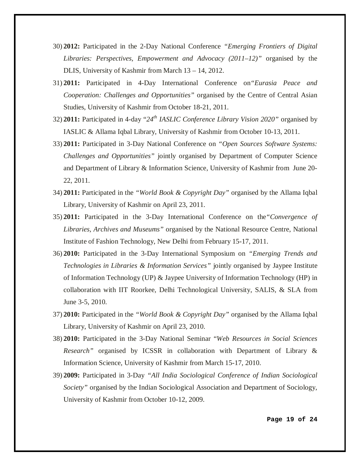- 30) **2012:** Participated in the 2-Day National Conference *"Emerging Frontiers of Digital Libraries: Perspectives, Empowerment and Advocacy (2011–12)"* organised by the DLIS, University of Kashmir from March 13 – 14, 2012.
- 31) **2011:** Participated in 4-Day International Conference on*"Eurasia Peace and Cooperation: Challenges and Opportunities"* organised by the Centre of Central Asian Studies, University of Kashmir from October 18-21, 2011.
- 32) **2011:** Participated in 4-day "*24th IASLIC Conference Library Vision 2020"* organised by IASLIC & Allama Iqbal Library, University of Kashmir from October 10-13, 2011.
- 33) **2011:** Participated in 3-Day National Conference on *"Open Sources Software Systems: Challenges and Opportunities"* jointly organised by Department of Computer Science and Department of Library & Information Science, University of Kashmir from June 20- 22, 2011.
- 34) **2011:** Participated in the *"World Book & Copyright Day"* organised by the Allama Iqbal Library, University of Kashmir on April 23, 2011.
- 35) **2011:** Participated in the 3-Day International Conference on the*"Convergence of Libraries, Archives and Museums"* organised by the National Resource Centre, National Institute of Fashion Technology, New Delhi from February 15-17, 2011.
- 36) **2010:** Participated in the 3-Day International Symposium on *"Emerging Trends and Technologies in Libraries & Information Services"* jointly organised by Jaypee Institute of Information Technology (UP) & Jaypee University of Information Technology (HP) in collaboration with IIT Roorkee, Delhi Technological University, SALIS, & SLA from June 3-5, 2010.
- 37) **2010:** Participated in the *"World Book & Copyright Day"* organised by the Allama Iqbal Library, University of Kashmir on April 23, 2010.
- 38) **2010:** Participated in the 3-Day National Seminar "*Web Resources in Social Sciences Research"* organised by ICSSR in collaboration with Department of Library & Information Science, University of Kashmir from March 15-17, 2010.
- 39) **2009:** Participated in 3-Day *"All India Sociological Conference of Indian Sociological Society"* organised by the Indian Sociological Association and Department of Sociology, University of Kashmir from October 10-12, 2009.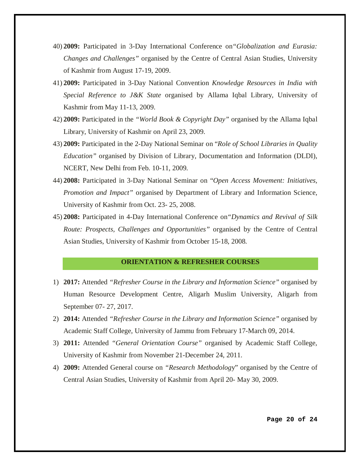- 40) **2009:** Participated in 3-Day International Conference on*"Globalization and Eurasia: Changes and Challenges"* organised by the Centre of Central Asian Studies, University of Kashmir from August 17-19, 2009.
- 41) **2009:** Participated in 3-Day National Convention *Knowledge Resources in India with Special Reference to J&K State* organised by Allama Iqbal Library, University of Kashmir from May 11-13, 2009.
- 42) **2009:** Participated in the *"World Book & Copyright Day"* organised by the Allama Iqbal Library, University of Kashmir on April 23, 2009.
- 43) **2009:** Participated in the 2-Day National Seminar on "*Role of School Libraries in Quality Education"* organised by Division of Library, Documentation and Information (DLDI), NCERT, New Delhi from Feb. 10-11, 2009.
- 44) **2008:** Participated in 3-Day National Seminar on "*Open Access Movement: Initiatives, Promotion and Impact"* organised by Department of Library and Information Science, University of Kashmir from Oct. 23- 25, 2008.
- 45) **2008:** Participated in 4-Day International Conference on*"Dynamics and Revival of Silk Route: Prospects, Challenges and Opportunities"* organised by the Centre of Central Asian Studies, University of Kashmir from October 15-18, 2008.

#### **ORIENTATION & REFRESHER COURSES**

- 1) **2017:** Attended *"Refresher Course in the Library and Information Science"* organised by Human Resource Development Centre, Aligarh Muslim University, Aligarh from September 07- 27, 2017.
- 2) **2014:** Attended *"Refresher Course in the Library and Information Science"* organised by Academic Staff College, University of Jammu from February 17-March 09, 2014.
- 3) **2011:** Attended *"General Orientation Course"* organised by Academic Staff College, University of Kashmir from November 21-December 24, 2011.
- 4) **2009:** Attended General course on *"Research Methodolog*y" organised by the Centre of Central Asian Studies, University of Kashmir from April 20- May 30, 2009.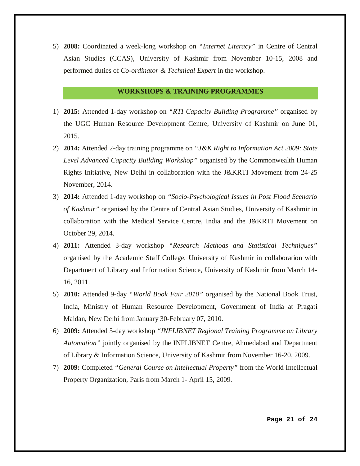5) **2008:** Coordinated a week-long workshop on *"Internet Literacy"* in Centre of Central Asian Studies (CCAS), University of Kashmir from November 10-15, 2008 and performed duties of *Co-ordinator & Technical Expert* in the workshop.

## **WORKSHOPS & TRAINING PROGRAMMES**

- 1) **2015:** Attended 1-day workshop on *"RTI Capacity Building Programme"* organised by the UGC Human Resource Development Centre, University of Kashmir on June 01, 2015.
- 2) **2014:** Attended 2-day training programme on *"J&K Right to Information Act 2009: State Level Advanced Capacity Building Workshop"* organised by the Commonwealth Human Rights Initiative, New Delhi in collaboration with the J&KRTI Movement from 24-25 November, 2014.
- 3) **2014:** Attended 1-day workshop on *"Socio-Psychological Issues in Post Flood Scenario of Kashmir"* organised by the Centre of Central Asian Studies, University of Kashmir in collaboration with the Medical Service Centre, India and the J&KRTI Movement on October 29, 2014.
- 4) **2011:** Attended 3-day workshop *"Research Methods and Statistical Techniques"* organised by the Academic Staff College, University of Kashmir in collaboration with Department of Library and Information Science, University of Kashmir from March 14- 16, 2011.
- 5) **2010:** Attended 9-day *"World Book Fair 2010"* organised by the National Book Trust, India, Ministry of Human Resource Development, Government of India at Pragati Maidan, New Delhi from January 30-February 07, 2010.
- 6) **2009:** Attended 5-day workshop *"INFLIBNET Regional Training Programme on Library Automation"* jointly organised by the INFLIBNET Centre, Ahmedabad and Department of Library & Information Science, University of Kashmir from November 16-20, 2009.
- 7) **2009:** Completed *"General Course on Intellectual Property"* from the World Intellectual Property Organization, Paris from March 1- April 15, 2009.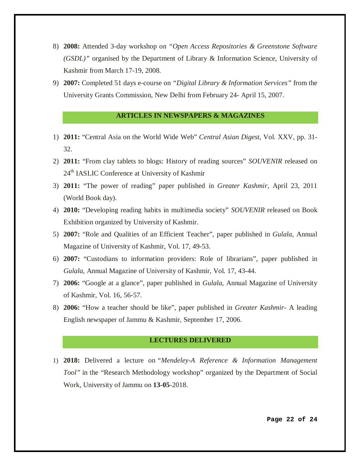- 8) **2008:** Attended 3-day workshop on *"Open Access Repositories & Greenstone Software (GSDL)"* organised by the Department of Library & Information Science, University of Kashmir from March 17-19, 2008.
- 9) **2007:** Completed 51 days e-course on *"Digital Library & Information Services"* from the University Grants Commission, New Delhi from February 24- April 15, 2007.

# **ARTICLES IN NEWSPAPERS & MAGAZINES**

- 1) **2011:** "Central Asia on the World Wide Web" *Central Asian Digest*, Vol. XXV, pp. 31- 32.
- 2) **2011:** "From clay tablets to blogs: History of reading sources" *SOUVENIR* released on 24<sup>th</sup> IASLIC Conference at University of Kashmir
- 3) **2011:** "The power of reading" paper published in *Greater Kashmir,* April 23, 2011 (World Book day).
- 4) **2010:** "Developing reading habits in multimedia society" *SOUVENIR* released on Book Exhibition organized by University of Kashmir.
- 5) **2007:** "Role and Qualities of an Efficient Teacher", paper published in *Gulala*, Annual Magazine of University of Kashmir, Vol. 17, 49-53.
- 6) **2007:** "Custodians to information providers: Role of librarians", paper published in *Gulala*, Annual Magazine of University of Kashmir, Vol. 17, 43-44.
- 7) **2006:** "Google at a glance", paper published in *Gulala*, Annual Magazine of University of Kashmir, Vol. 16, 56-57.
- 8) **2006:** "How a teacher should be like", paper published in *Greater Kashmir-* A leading English newspaper of Jammu & Kashmir, September 17, 2006.

#### **LECTURES DELIVERED**

1) **2018:** Delivered a lecture on *"Mendeley-A Reference & Information Management Tool"* in the "Research Methodology workshop" organized by the Department of Social Work*,* University of Jammu on **13-05**-2018.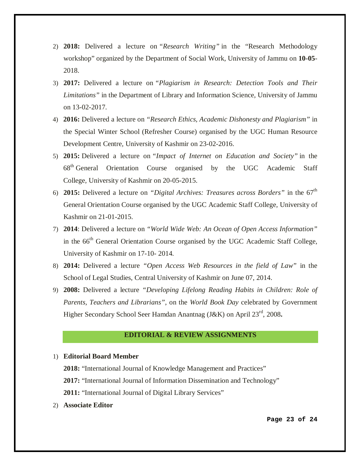- 2) **2018:** Delivered a lecture on *"Research Writing"* in the "Research Methodology workshop" organized by the Department of Social Work*,* University of Jammu on **10-05**- 2018.
- 3) **2017:** Delivered a lecture on *"Plagiarism in Research: Detection Tools and Their Limitations"* in the Department of Library and Information Science*,* University of Jammu on 13-02-2017.
- 4) **2016:** Delivered a lecture on *"Research Ethics, Academic Dishonesty and Plagiarism"* in the Special Winter School (Refresher Course) organised by the UGC Human Resource Development Centre*,* University of Kashmir on 23-02-2016.
- 5) **2015:** Delivered a lecture on *"Impact of Internet on Education and Society"* in the 68th General Orientation Course organised by the UGC Academic Staff College*,* University of Kashmir on 20-05-2015.
- 6) **2015:** Delivered a lecture on *"Digital Archives: Treasures across Borders"* in the 67th General Orientation Course organised by the UGC Academic Staff College*,* University of Kashmir on 21-01-2015.
- 7) **2014**: Delivered a lecture on *"World Wide Web: An Ocean of Open Access Information"*  in the 66<sup>th</sup> General Orientation Course organised by the UGC Academic Staff College, University of Kashmir on 17-10- 2014.
- 8) **2014:** Delivered a lecture *"Open Access Web Resources in the field of Law"* in the School of Legal Studies, Central University of Kashmir on June 07, 2014.
- 9) **2008:** Delivered a lecture *"Developing Lifelong Reading Habits in Children: Role of Parents, Teachers and Librarians"*, on the *World Book Day* celebrated by Government Higher Secondary School Seer Hamdan Anantnag (J&K) on April 23rd, 2008**.**

# **EDITORIAL & REVIEW ASSIGNMENTS**

## 1) **Editorial Board Member**

- **2018:** "International Journal of Knowledge Management and Practices"
- **2017:** "International Journal of Information Dissemination and Technology"
- **2011:** "International Journal of Digital Library Services"
- 2) **Associate Editor**